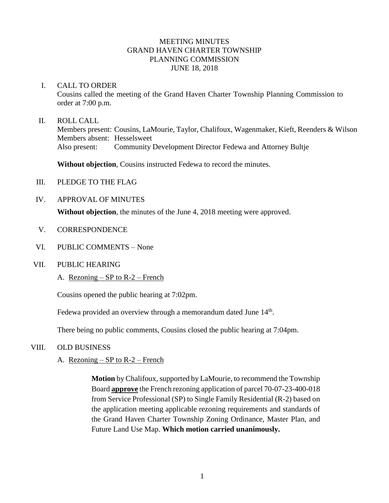# MEETING MINUTES GRAND HAVEN CHARTER TOWNSHIP PLANNING COMMISSION JUNE 18, 2018

#### I. CALL TO ORDER

Cousins called the meeting of the Grand Haven Charter Township Planning Commission to order at 7:00 p.m.

### II. ROLL CALL

Members present: Cousins, LaMourie, Taylor, Chalifoux, Wagenmaker, Kieft, Reenders & Wilson Members absent: Hesselsweet Also present: Community Development Director Fedewa and Attorney Bultje

**Without objection**, Cousins instructed Fedewa to record the minutes.

- III. PLEDGE TO THE FLAG
- IV. APPROVAL OF MINUTES

**Without objection**, the minutes of the June 4, 2018 meeting were approved.

- V. CORRESPONDENCE
- VI. PUBLIC COMMENTS None
- VII. PUBLIC HEARING
	- A. Rezoning SP to R-2 French

Cousins opened the public hearing at 7:02pm.

Fedewa provided an overview through a memorandum dated June 14<sup>th</sup>.

There being no public comments, Cousins closed the public hearing at 7:04pm.

# VIII. OLD BUSINESS

# A. Rezoning – SP to  $R-2$  – French

**Motion** by Chalifoux, supported by LaMourie, to recommend the Township Board **approve** the French rezoning application of parcel 70-07-23-400-018 from Service Professional (SP) to Single Family Residential (R-2) based on the application meeting applicable rezoning requirements and standards of the Grand Haven Charter Township Zoning Ordinance, Master Plan, and Future Land Use Map. **Which motion carried unanimously.**